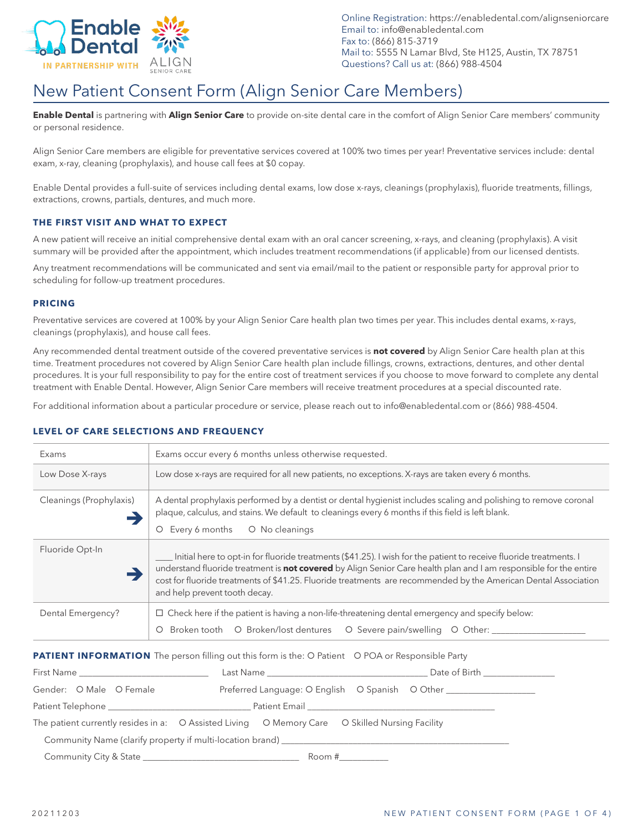

Online Registration: https://enabledental.com/alignseniorcare Email to: info@enabledental.com Fax to: (866) 815-3719 Mail to: 5555 N Lamar Blvd, Ste H125, Austin, TX 78751 Questions? Call us at: (866) 988-4504

# New Patient Consent Form (Align Senior Care Members)

**Enable Dental** is partnering with **Align Senior Care** to provide on-site dental care in the comfort of Align Senior Care members' community or personal residence.

Align Senior Care members are eligible for preventative services covered at 100% two times per year! Preventative services include: dental exam, x-ray, cleaning (prophylaxis), and house call fees at \$0 copay.

Enable Dental provides a full-suite of services including dental exams, low dose x-rays, cleanings (prophylaxis), fluoride treatments, fillings, extractions, crowns, partials, dentures, and much more.

### **THE FIRST VISIT AND WHAT TO EXPECT**

A new patient will receive an initial comprehensive dental exam with an oral cancer screening, x-rays, and cleaning (prophylaxis). A visit summary will be provided after the appointment, which includes treatment recommendations (if applicable) from our licensed dentists.

Any treatment recommendations will be communicated and sent via email/mail to the patient or responsible party for approval prior to scheduling for follow-up treatment procedures.

## **PRICING**

Preventative services are covered at 100% by your Align Senior Care health plan two times per year. This includes dental exams, x-rays, cleanings (prophylaxis), and house call fees.

Any recommended dental treatment outside of the covered preventative services is **not covered** by Align Senior Care health plan at this time. Treatment procedures not covered by Align Senior Care health plan include fillings, crowns, extractions, dentures, and other dental procedures. It is your full responsibility to pay for the entire cost of treatment services if you choose to move forward to complete any dental treatment with Enable Dental. However, Align Senior Care members will receive treatment procedures at a special discounted rate.

For additional information about a particular procedure or service, please reach out to info@enabledental.com or (866) 988-4504.

# **LEVEL OF CARE SELECTIONS AND FREQUENCY**

| Exams                   | Exams occur every 6 months unless otherwise requested.                                                                                                                                                                                                                                                                                                                                      |  |  |  |
|-------------------------|---------------------------------------------------------------------------------------------------------------------------------------------------------------------------------------------------------------------------------------------------------------------------------------------------------------------------------------------------------------------------------------------|--|--|--|
| Low Dose X-rays         | Low dose x-rays are required for all new patients, no exceptions. X-rays are taken every 6 months.                                                                                                                                                                                                                                                                                          |  |  |  |
| Cleanings (Prophylaxis) | A dental prophylaxis performed by a dentist or dental hygienist includes scaling and polishing to remove coronal<br>plaque, calculus, and stains. We default to cleanings every 6 months if this field is left blank.<br>O No cleanings<br>Every 6 months<br>O                                                                                                                              |  |  |  |
| Fluoride Opt-In         | Initial here to opt-in for fluoride treatments (\$41.25). I wish for the patient to receive fluoride treatments. I<br>understand fluoride treatment is not covered by Align Senior Care health plan and I am responsible for the entire<br>cost for fluoride treatments of \$41.25. Fluoride treatments are recommended by the American Dental Association<br>and help prevent tooth decay. |  |  |  |
| Dental Emergency?       | $\Box$ Check here if the patient is having a non-life-threatening dental emergency and specify below:<br>Broken tooth O Broken/lost dentures O Severe pain/swelling O Other:<br>Ő                                                                                                                                                                                                           |  |  |  |

### **PATIENT INFORMATION** The person filling out this form is the: O Patient O POA or Responsible Party

|                                                                                                |                                                  | Date of Birth ________________                  |  |  |  |  |
|------------------------------------------------------------------------------------------------|--------------------------------------------------|-------------------------------------------------|--|--|--|--|
| Gender: O Male O Female                                                                        |                                                  | Preferred Language: O English O Spanish O Other |  |  |  |  |
|                                                                                                | Patient Telephone <b>Example 2</b> Patient Email |                                                 |  |  |  |  |
| The patient currently resides in a: O Assisted Living O Memory Care O Skilled Nursing Facility |                                                  |                                                 |  |  |  |  |
| Community Name (clarify property if multi-location brand)                                      |                                                  |                                                 |  |  |  |  |
|                                                                                                | Room #____________                               |                                                 |  |  |  |  |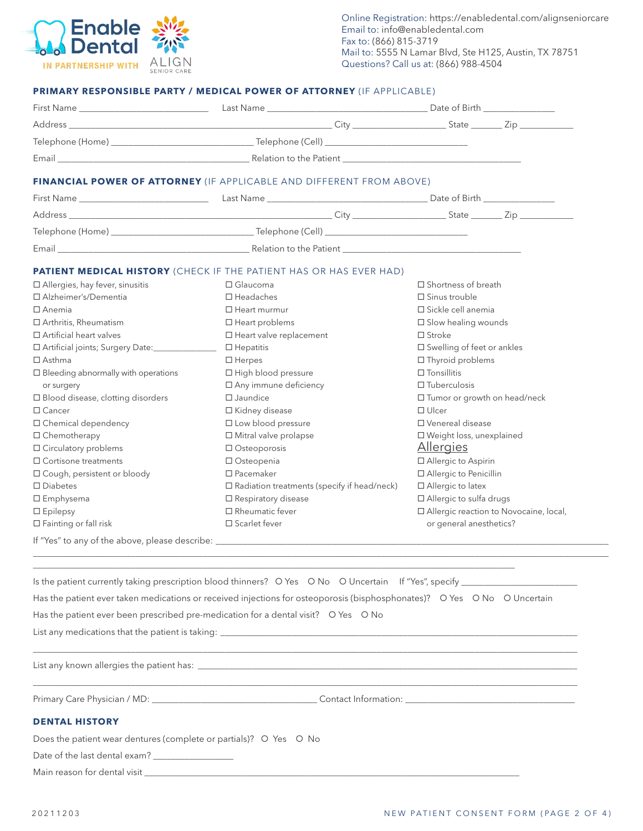

#### **PRIMARY RESPONSIBLE PARTY / MEDICAL POWER OF ATTORNEY** (IF APPLICABLE)

| Email example and the Patient example of the Patient example of the Patient example of the Patient example of the Patient example of the Patient example of the Patient example of the Patient example of the Patient example |                                                                      |                                          |  |  |
|-------------------------------------------------------------------------------------------------------------------------------------------------------------------------------------------------------------------------------|----------------------------------------------------------------------|------------------------------------------|--|--|
|                                                                                                                                                                                                                               | FINANCIAL POWER OF ATTORNEY (IF APPLICABLE AND DIFFERENT FROM ABOVE) |                                          |  |  |
|                                                                                                                                                                                                                               |                                                                      |                                          |  |  |
|                                                                                                                                                                                                                               |                                                                      |                                          |  |  |
|                                                                                                                                                                                                                               |                                                                      |                                          |  |  |
|                                                                                                                                                                                                                               |                                                                      |                                          |  |  |
|                                                                                                                                                                                                                               | PATIENT MEDICAL HISTORY (CHECK IF THE PATIENT HAS OR HAS EVER HAD)   |                                          |  |  |
| $\Box$ Allergies, hay fever, sinusitis                                                                                                                                                                                        | $\Box$ Shortness of breath<br>$\Box$ Glaucoma                        |                                          |  |  |
| □ Alzheimer's/Dementia                                                                                                                                                                                                        | $\Box$ Headaches                                                     | $\square$ Sinus trouble                  |  |  |
| $\Box$ Anemia                                                                                                                                                                                                                 | $\Box$ Heart murmur                                                  | □ Sickle cell anemia                     |  |  |
| □ Arthritis, Rheumatism                                                                                                                                                                                                       | $\Box$ Heart problems                                                | $\square$ Slow healing wounds            |  |  |
| $\Box$ Artificial heart valves                                                                                                                                                                                                | $\Box$ Heart valve replacement                                       | $\Box$ Stroke                            |  |  |
|                                                                                                                                                                                                                               | $\Box$ Hepatitis                                                     | $\square$ Swelling of feet or ankles     |  |  |
| $\Box$ Asthma                                                                                                                                                                                                                 | $\Box$ Herpes                                                        | $\Box$ Thyroid problems                  |  |  |
| $\square$ Bleeding abnormally with operations                                                                                                                                                                                 | □ High blood pressure                                                | $\Box$ Tonsillitis                       |  |  |
| or surgery                                                                                                                                                                                                                    | □ Any immune deficiency                                              | $\Box$ Tuberculosis                      |  |  |
| $\Box$ Blood disease, clotting disorders                                                                                                                                                                                      | $\Box$ Jaundice                                                      | $\Box$ Tumor or growth on head/neck      |  |  |
| $\Box$ Cancer                                                                                                                                                                                                                 | □ Kidney disease                                                     | $\Box$ Ulcer                             |  |  |
| $\Box$ Chemical dependency                                                                                                                                                                                                    | $\Box$ Low blood pressure                                            | □ Venereal disease                       |  |  |
| □ Chemotherapy                                                                                                                                                                                                                | $\Box$ Mitral valve prolapse                                         | □ Weight loss, unexplained               |  |  |
| □ Circulatory problems                                                                                                                                                                                                        | $\Box$ Osteoporosis                                                  | <u>Allergies</u>                         |  |  |
| $\Box$ Cortisone treatments                                                                                                                                                                                                   | □ Osteopenia                                                         | □ Allergic to Aspirin                    |  |  |
| $\Box$ Cough, persistent or bloody                                                                                                                                                                                            | $\square$ Pacemaker                                                  | □ Allergic to Penicillin                 |  |  |
| $\square$ Diabetes                                                                                                                                                                                                            | $\square$ Radiation treatments (specify if head/neck)                | □ Allergic to latex                      |  |  |
| $\Box$ Emphysema                                                                                                                                                                                                              | $\Box$ Respiratory disease                                           | □ Allergic to sulfa drugs                |  |  |
| $\Box$ Epilepsy                                                                                                                                                                                                               | $\Box$ Rheumatic fever                                               | □ Allergic reaction to Novocaine, local, |  |  |
| $\Box$ Fainting or fall risk                                                                                                                                                                                                  | $\square$ Scarlet fever<br>or general anesthetics?                   |                                          |  |  |

If "Yes" to any of the above, please describe: \_\_\_\_\_\_\_\_\_\_\_\_\_\_\_\_\_\_\_\_\_\_\_\_\_\_\_\_\_\_\_\_\_\_\_\_\_\_\_\_\_\_\_\_\_\_\_\_\_\_\_\_\_\_\_\_\_\_\_\_\_\_\_\_\_\_\_\_\_\_\_\_\_\_\_\_\_\_\_\_\_\_\_\_\_\_\_\_

| List any medications that the patient is taking:                                                                         |
|--------------------------------------------------------------------------------------------------------------------------|
| Has the patient ever been prescribed pre-medication for a dental visit? O Yes O No                                       |
| Has the patient ever taken medications or received injections for osteoporosis (bisphosphonates)? O Yes O No O Uncertain |
| Is the patient currently taking prescription blood thinners? O Yes O No O Uncertain If "Yes", specify                    |
|                                                                                                                          |

\_\_\_\_\_\_\_\_\_\_\_\_\_\_\_\_\_\_\_\_\_\_\_\_\_\_\_\_\_\_\_\_\_\_\_\_\_\_\_\_\_\_\_\_\_\_\_\_\_\_\_\_\_\_\_\_\_\_\_\_\_\_\_\_\_\_\_\_\_\_\_\_\_\_\_\_\_\_\_\_\_\_\_\_\_\_\_\_\_\_\_\_\_\_\_\_\_\_\_\_\_\_\_\_\_\_\_\_\_\_\_\_\_\_\_\_\_\_\_\_\_\_

\_\_\_\_\_\_\_\_\_\_\_\_\_\_\_\_\_\_\_\_\_\_\_\_\_\_\_\_\_\_\_\_\_\_\_\_\_\_\_\_\_\_\_\_\_\_\_\_\_\_\_\_\_\_\_\_\_\_\_\_\_\_\_\_\_\_\_\_\_\_\_\_\_\_\_\_\_\_\_\_\_\_\_\_\_\_\_\_\_\_\_\_\_\_\_\_\_\_\_\_\_\_\_\_\_\_\_\_

List any known allergies the patient has: \_\_\_\_\_\_\_\_\_\_\_\_\_\_\_\_\_\_\_\_\_\_\_\_\_\_\_\_\_\_\_\_\_\_\_\_\_\_\_\_\_\_\_\_\_\_\_\_\_\_\_\_\_\_\_\_\_\_\_\_\_\_\_\_\_\_\_\_\_\_\_\_\_\_\_\_\_\_\_\_\_\_\_\_\_

\_\_\_\_\_\_\_\_\_\_\_\_\_\_\_\_\_\_\_\_\_\_\_\_\_\_\_\_\_\_\_\_\_\_\_\_\_\_\_\_\_\_\_\_\_\_\_\_\_\_\_\_\_\_\_\_\_\_\_\_\_\_\_\_\_\_\_\_\_\_\_\_\_\_\_\_\_\_\_\_\_\_\_\_\_\_\_\_\_\_\_\_\_\_\_\_\_\_\_\_\_\_\_\_\_\_\_\_\_\_\_\_\_\_\_\_\_\_\_\_\_\_\_\_\_\_\_\_\_

Primary Care Physician / MD: \_\_\_\_\_\_\_\_\_\_\_\_\_\_\_\_\_\_\_\_\_\_\_\_\_\_\_\_\_\_\_\_\_\_\_\_\_ Contact Information: \_\_\_\_\_\_\_\_\_\_\_\_\_\_\_\_\_\_\_\_\_\_\_\_\_\_\_\_\_\_\_\_\_\_\_\_\_\_

# **DENTAL HISTORY**

Does the patient wear dentures (complete or partials)? O Yes O No

Date of the last dental exam? \_\_\_\_\_\_\_\_\_\_\_\_\_\_\_\_\_\_

Main reason for dental visit \_\_\_\_\_\_\_\_\_\_\_\_\_\_\_\_\_\_\_\_\_\_\_\_\_\_\_\_\_\_\_\_\_\_\_\_\_\_\_\_\_\_\_\_\_\_\_\_\_\_\_\_\_\_\_\_\_\_\_\_\_\_\_\_\_\_\_\_\_\_\_\_\_\_\_\_\_\_\_\_\_\_\_\_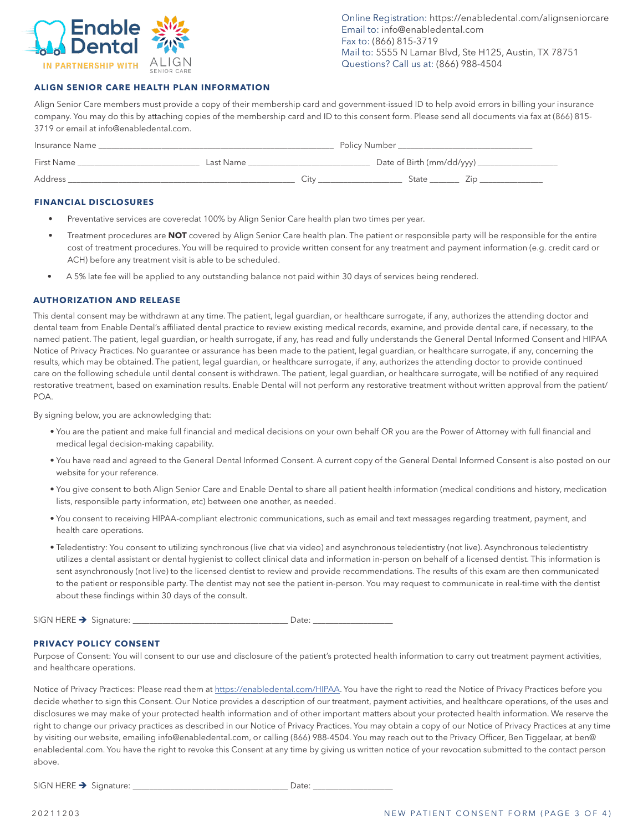

Online Registration: https://enabledental.com/alignseniorcare Email to: info@enabledental.com Fax to: (866) 815-3719 Mail to: 5555 N Lamar Blvd, Ste H125, Austin, TX 78751 Questions? Call us at: (866) 988-4504

## **ALIGN SENIOR CARE HEALTH PLAN INFORMATION**

Align Senior Care members must provide a copy of their membership card and government-issued ID to help avoid errors in billing your insurance company. You may do this by attaching copies of the membership card and ID to this consent form. Please send all documents via fax at (866) 815- 3719 or email at info@enabledental.com.

| Insurance Name |           |      | Policy Number             |  |  |
|----------------|-----------|------|---------------------------|--|--|
| First Name     | Last Name |      | Date of Birth (mm/dd/yyy) |  |  |
| <b>Address</b> |           | ∵itv | State                     |  |  |

#### **FINANCIAL DISCLOSURES**

- Preventative services are coveredat 100% by Align Senior Care health plan two times per year.
- Treatment procedures are **NOT** covered by Align Senior Care health plan. The patient or responsible party will be responsible for the entire cost of treatment procedures. You will be required to provide written consent for any treatment and payment information (e.g. credit card or ACH) before any treatment visit is able to be scheduled.
- A 5% late fee will be applied to any outstanding balance not paid within 30 days of services being rendered.

#### **AUTHORIZATION AND RELEASE**

This dental consent may be withdrawn at any time. The patient, legal guardian, or healthcare surrogate, if any, authorizes the attending doctor and dental team from Enable Dental's affiliated dental practice to review existing medical records, examine, and provide dental care, if necessary, to the named patient. The patient, legal guardian, or health surrogate, if any, has read and fully understands the General Dental Informed Consent and HIPAA Notice of Privacy Practices. No guarantee or assurance has been made to the patient, legal guardian, or healthcare surrogate, if any, concerning the results, which may be obtained. The patient, legal guardian, or healthcare surrogate, if any, authorizes the attending doctor to provide continued care on the following schedule until dental consent is withdrawn. The patient, legal guardian, or healthcare surrogate, will be notified of any required restorative treatment, based on examination results. Enable Dental will not perform any restorative treatment without written approval from the patient/ POA.

By signing below, you are acknowledging that:

- You are the patient and make full financial and medical decisions on your own behalf OR you are the Power of Attorney with full financial and medical legal decision-making capability.
- You have read and agreed to the General Dental Informed Consent. A current copy of the General Dental Informed Consent is also posted on our website for your reference.
- You give consent to both Align Senior Care and Enable Dental to share all patient health information (medical conditions and history, medication lists, responsible party information, etc) between one another, as needed.
- You consent to receiving HIPAA-compliant electronic communications, such as email and text messages regarding treatment, payment, and health care operations.
- Teledentistry: You consent to utilizing synchronous (live chat via video) and asynchronous teledentistry (not live). Asynchronous teledentistry utilizes a dental assistant or dental hygienist to collect clinical data and information in-person on behalf of a licensed dentist. This information is sent asynchronously (not live) to the licensed dentist to review and provide recommendations. The results of this exam are then communicated to the patient or responsible party. The dentist may not see the patient in-person. You may request to communicate in real-time with the dentist about these findings within 30 days of the consult.

SIGN HERE Signature: \_\_\_\_\_\_\_\_\_\_\_\_\_\_\_\_\_\_\_\_\_\_\_\_\_\_\_\_\_\_\_\_\_\_\_\_\_ Date: \_\_\_\_\_\_\_\_\_\_\_\_\_\_\_\_\_\_\_

#### **PRIVACY POLICY CONSENT**

Purpose of Consent: You will consent to our use and disclosure of the patient's protected health information to carry out treatment payment activities, and healthcare operations.

Notice of Privacy Practices: Please read them at https://enabledental.com/HIPAA. You have the right to read the Notice of Privacy Practices before you decide whether to sign this Consent. Our Notice provides a description of our treatment, payment activities, and healthcare operations, of the uses and disclosures we may make of your protected health information and of other important matters about your protected health information. We reserve the right to change our privacy practices as described in our Notice of Privacy Practices. You may obtain a copy of our Notice of Privacy Practices at any time by visiting our website, emailing info@enabledental.com, or calling (866) 988-4504. You may reach out to the Privacy Officer, Ben Tiggelaar, at ben@ enabledental.com. You have the right to revoke this Consent at any time by giving us written notice of your revocation submitted to the contact person above.

SIGN HERE Signature: \_\_\_\_\_\_\_\_\_\_\_\_\_\_\_\_\_\_\_\_\_\_\_\_\_\_\_\_\_\_\_\_\_\_\_\_\_ Date: \_\_\_\_\_\_\_\_\_\_\_\_\_\_\_\_\_\_\_